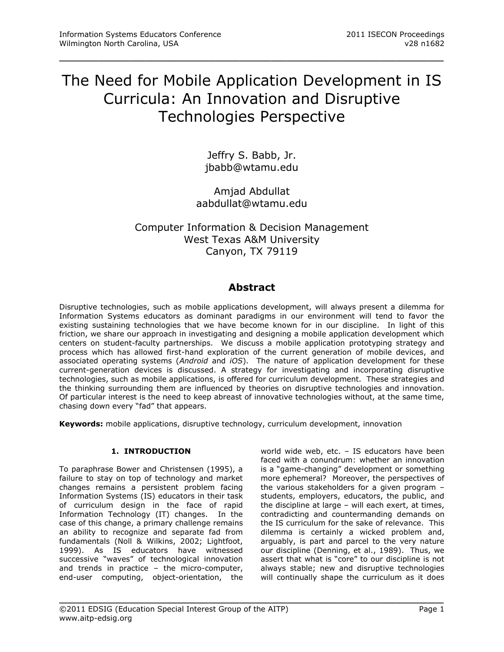# The Need for Mobile Application Development in IS Curricula: An Innovation and Disruptive Technologies Perspective

\_\_\_\_\_\_\_\_\_\_\_\_\_\_\_\_\_\_\_\_\_\_\_\_\_\_\_\_\_\_\_\_\_\_\_\_\_\_\_\_\_\_\_\_\_\_\_\_\_

Jeffry S. Babb, Jr. jbabb@wtamu.edu

Amjad Abdullat aabdullat@wtamu.edu

# Computer Information & Decision Management West Texas A&M University Canyon, TX 79119

# **Abstract**

Disruptive technologies, such as mobile applications development, will always present a dilemma for Information Systems educators as dominant paradigms in our environment will tend to favor the existing sustaining technologies that we have become known for in our discipline. In light of this friction, we share our approach in investigating and designing a mobile application development which centers on student-faculty partnerships. We discuss a mobile application prototyping strategy and process which has allowed first-hand exploration of the current generation of mobile devices, and associated operating systems (*Android* and *iOS*). The nature of application development for these current-generation devices is discussed. A strategy for investigating and incorporating disruptive technologies, such as mobile applications, is offered for curriculum development. These strategies and the thinking surrounding them are influenced by theories on disruptive technologies and innovation. Of particular interest is the need to keep abreast of innovative technologies without, at the same time, chasing down every "fad" that appears.

**Keywords:** mobile applications, disruptive technology, curriculum development, innovation

# **1. INTRODUCTION**

To paraphrase Bower and Christensen (1995), a failure to stay on top of technology and market changes remains a persistent problem facing Information Systems (IS) educators in their task of curriculum design in the face of rapid Information Technology (IT) changes. In the case of this change, a primary challenge remains an ability to recognize and separate fad from fundamentals (Noll & Wilkins, 2002; Lightfoot, 1999). As IS educators have witnessed successive "waves" of technological innovation and trends in practice – the micro-computer, end-user computing, object-orientation, the

world wide web, etc. – IS educators have been faced with a conundrum: whether an innovation is a "game-changing" development or something more ephemeral? Moreover, the perspectives of the various stakeholders for a given program – students, employers, educators, the public, and the discipline at large – will each exert, at times, contradicting and countermanding demands on the IS curriculum for the sake of relevance. This dilemma is certainly a wicked problem and, arguably, is part and parcel to the very nature our discipline (Denning, et al., 1989). Thus, we assert that what is "core" to our discipline is not always stable; new and disruptive technologies will continually shape the curriculum as it does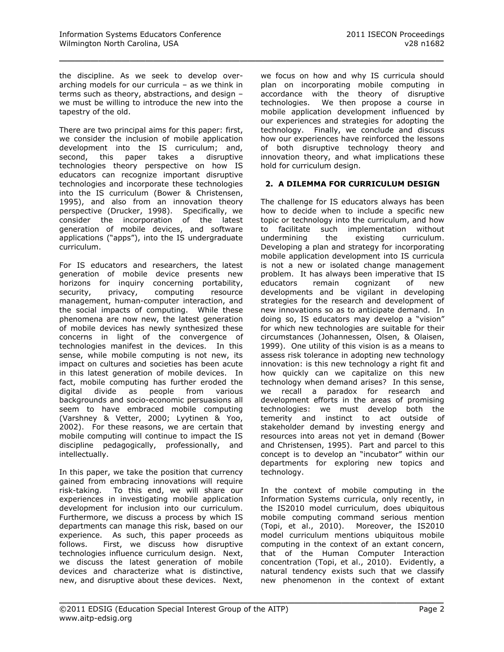the discipline. As we seek to develop overarching models for our curricula – as we think in terms such as theory, abstractions, and design – we must be willing to introduce the new into the tapestry of the old.

\_\_\_\_\_\_\_\_\_\_\_\_\_\_\_\_\_\_\_\_\_\_\_\_\_\_\_\_\_\_\_\_\_\_\_\_\_\_\_\_\_\_\_\_\_\_\_\_\_

There are two principal aims for this paper: first, we consider the inclusion of mobile application development into the IS curriculum; and, second, this paper takes a disruptive technologies theory perspective on how IS educators can recognize important disruptive technologies and incorporate these technologies into the IS curriculum (Bower & Christensen, 1995), and also from an innovation theory perspective (Drucker, 1998). Specifically, we consider the incorporation of the latest generation of mobile devices, and software applications ("apps"), into the IS undergraduate curriculum.

For IS educators and researchers, the latest generation of mobile device presents new horizons for inquiry concerning portability, security, privacy, computing resource management, human-computer interaction, and the social impacts of computing. While these phenomena are now new, the latest generation of mobile devices has newly synthesized these concerns in light of the convergence of technologies manifest in the devices. In this sense, while mobile computing is not new, its impact on cultures and societies has been acute in this latest generation of mobile devices. In fact, mobile computing has further eroded the digital divide as people from various backgrounds and socio-economic persuasions all seem to have embraced mobile computing (Varshney & Vetter, 2000; Lyytinen & Yoo, 2002). For these reasons, we are certain that mobile computing will continue to impact the IS discipline pedagogically, professionally, and intellectually.

In this paper, we take the position that currency gained from embracing innovations will require risk-taking. To this end, we will share our experiences in investigating mobile application development for inclusion into our curriculum. Furthermore, we discuss a process by which IS departments can manage this risk, based on our experience. As such, this paper proceeds as follows. First, we discuss how disruptive technologies influence curriculum design. Next, we discuss the latest generation of mobile devices and characterize what is distinctive, new, and disruptive about these devices. Next,

we focus on how and why IS curricula should plan on incorporating mobile computing in accordance with the theory of disruptive technologies. We then propose a course in mobile application development influenced by our experiences and strategies for adopting the technology. Finally, we conclude and discuss how our experiences have reinforced the lessons of both disruptive technology theory and innovation theory, and what implications these hold for curriculum design.

## **2. A DILEMMA FOR CURRICULUM DESIGN**

The challenge for IS educators always has been how to decide when to include a specific new topic or technology into the curriculum, and how to facilitate such implementation without undermining the existing curriculum. Developing a plan and strategy for incorporating mobile application development into IS curricula is not a new or isolated change management problem. It has always been imperative that IS educators remain cognizant of new developments and be vigilant in developing strategies for the research and development of new innovations so as to anticipate demand. In doing so, IS educators may develop a "vision" for which new technologies are suitable for their circumstances (Johannessen, Olsen, & Olaisen, 1999). One utility of this vision is as a means to assess risk tolerance in adopting new technology innovation: is this new technology a right fit and how quickly can we capitalize on this new technology when demand arises? In this sense, we recall a paradox for research and development efforts in the areas of promising technologies: we must develop both the temerity and instinct to act outside of stakeholder demand by investing energy and resources into areas not yet in demand (Bower and Christensen, 1995). Part and parcel to this concept is to develop an "incubator" within our departments for exploring new topics and technology.

In the context of mobile computing in the Information Systems curricula, only recently, in the IS2010 model curriculum, does ubiquitous mobile computing command serious mention (Topi, et al., 2010). Moreover, the IS2010 model curriculum mentions ubiquitous mobile computing in the context of an extant concern, that of the Human Computer Interaction concentration (Topi, et al., 2010). Evidently, a natural tendency exists such that we classify new phenomenon in the context of extant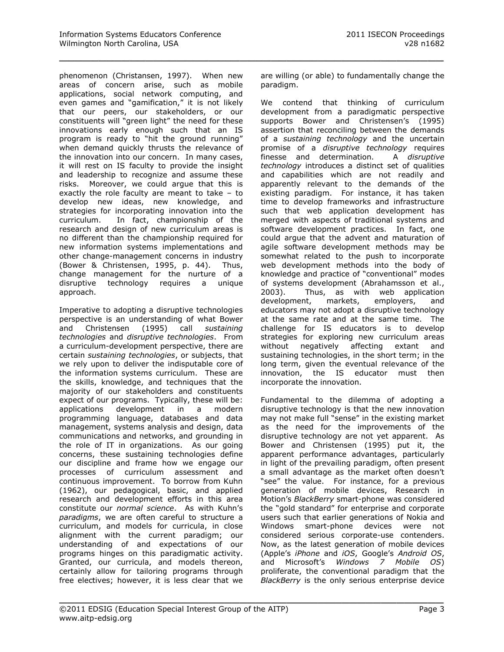phenomenon (Christansen, 1997). When new areas of concern arise, such as mobile applications, social network computing, and even games and "gamification," it is not likely that our peers, our stakeholders, or our constituents will "green light" the need for these innovations early enough such that an IS program is ready to "hit the ground running" when demand quickly thrusts the relevance of the innovation into our concern. In many cases, it will rest on IS faculty to provide the insight and leadership to recognize and assume these risks. Moreover, we could argue that this is exactly the role faculty are meant to take – to develop new ideas, new knowledge, and strategies for incorporating innovation into the curriculum. In fact, championship of the research and design of new curriculum areas is no different than the championship required for new information systems implementations and other change-management concerns in industry (Bower & Christensen, 1995, p. 44). Thus, change management for the nurture of a disruptive technology requires a unique approach.

Imperative to adopting a disruptive technologies perspective is an understanding of what Bower and Christensen (1995) call *sustaining technologies* and *disruptive technologies*. From a curriculum-development perspective, there are certain *sustaining technologies*, or subjects, that we rely upon to deliver the indisputable core of the information systems curriculum. These are the skills, knowledge, and techniques that the majority of our stakeholders and constituents expect of our programs. Typically, these will be: applications development in a modern programming language, databases and data management, systems analysis and design, data communications and networks, and grounding in the role of IT in organizations. As our going concerns, these sustaining technologies define our discipline and frame how we engage our processes of curriculum assessment and continuous improvement. To borrow from Kuhn (1962), our pedagogical, basic, and applied research and development efforts in this area constitute our *normal science*. As with Kuhn's *paradigms*, we are often careful to structure a curriculum, and models for curricula, in close alignment with the current paradigm; our understanding of and expectations of our programs hinges on this paradigmatic activity. Granted, our curricula, and models thereon, certainly allow for tailoring programs through free electives; however, it is less clear that we

are willing (or able) to fundamentally change the paradigm.

\_\_\_\_\_\_\_\_\_\_\_\_\_\_\_\_\_\_\_\_\_\_\_\_\_\_\_\_\_\_\_\_\_\_\_\_\_\_\_\_\_\_\_\_\_\_\_\_\_

We contend that thinking of curriculum development from a paradigmatic perspective supports Bower and Christensen's (1995) assertion that reconciling between the demands of a *sustaining technology* and the uncertain promise of a *disruptive technology* requires finesse and determination. A *disruptive technology* introduces a distinct set of qualities and capabilities which are not readily and apparently relevant to the demands of the existing paradigm. For instance, it has taken time to develop frameworks and infrastructure such that web application development has merged with aspects of traditional systems and software development practices. In fact, one could argue that the advent and maturation of agile software development methods may be somewhat related to the push to incorporate web development methods into the body of knowledge and practice of "conventional" modes of systems development (Abrahamsson et al., 2003). Thus, as with web application development, markets, employers, and educators may not adopt a disruptive technology at the same rate and at the same time. The challenge for IS educators is to develop strategies for exploring new curriculum areas without negatively affecting extant and sustaining technologies, in the short term; in the long term, given the eventual relevance of the innovation, the IS educator must then incorporate the innovation.

Fundamental to the dilemma of adopting a disruptive technology is that the new innovation may not make full "sense" in the existing market as the need for the improvements of the disruptive technology are not yet apparent. As Bower and Christensen (1995) put it, the apparent performance advantages, particularly in light of the prevailing paradigm, often present a small advantage as the market often doesn't "see" the value. For instance, for a previous generation of mobile devices, Research in Motion's *BlackBerry* smart-phone was considered the "gold standard" for enterprise and corporate users such that earlier generations of Nokia and Windows smart-phone devices were not considered serious corporate-use contenders. Now, as the latest generation of mobile devices (Apple's *iPhone* and *iOS*, Google's *Android OS*, and Microsoft's *Windows 7 Mobile OS*) proliferate, the conventional paradigm that the *BlackBerry* is the only serious enterprise device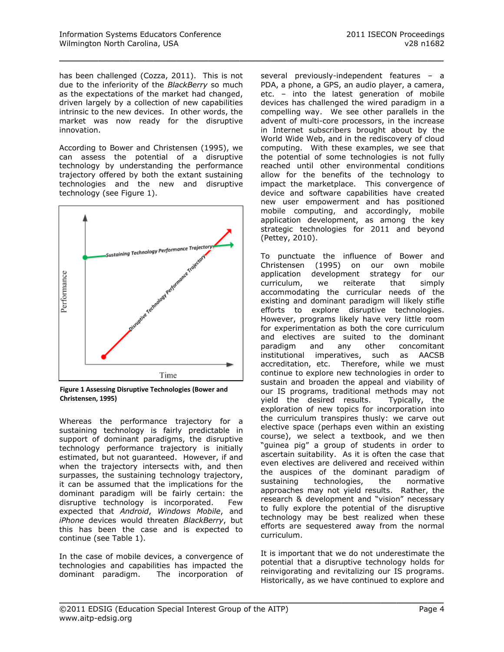has been challenged (Cozza, 2011). This is not due to the inferiority of the *BlackBerry* so much as the expectations of the market had changed, driven largely by a collection of new capabilities intrinsic to the new devices. In other words, the market was now ready for the disruptive innovation.

\_\_\_\_\_\_\_\_\_\_\_\_\_\_\_\_\_\_\_\_\_\_\_\_\_\_\_\_\_\_\_\_\_\_\_\_\_\_\_\_\_\_\_\_\_\_\_\_\_

According to Bower and Christensen (1995), we can assess the potential of a disruptive technology by understanding the performance trajectory offered by both the extant sustaining technologies and the new and disruptive technology (see Figure 1).



**Figure 1 Assessing Disruptive Technologies (Bower and Christensen, 1995)**

Whereas the performance trajectory for a sustaining technology is fairly predictable in support of dominant paradigms, the disruptive technology performance trajectory is initially estimated, but not guaranteed. However, if and when the trajectory intersects with, and then surpasses, the sustaining technology trajectory, it can be assumed that the implications for the dominant paradigm will be fairly certain: the disruptive technology is incorporated. Few expected that *Android*, *Windows Mobile*, and *iPhone* devices would threaten *BlackBerry*, but this has been the case and is expected to continue (see [Table 1\)](#page-10-0).

In the case of mobile devices, a convergence of technologies and capabilities has impacted the dominant paradigm. The incorporation of several previously-independent features – a PDA, a phone, a GPS, an audio player, a camera, etc. – into the latest generation of mobile devices has challenged the wired paradigm in a compelling way. We see other parallels in the advent of multi-core processors, in the increase in Internet subscribers brought about by the World Wide Web, and in the rediscovery of cloud computing. With these examples, we see that the potential of some technologies is not fully reached until other environmental conditions allow for the benefits of the technology to impact the marketplace. This convergence of device and software capabilities have created new user empowerment and has positioned mobile computing, and accordingly, mobile application development, as among the key strategic technologies for 2011 and beyond (Pettey, 2010).

To punctuate the influence of Bower and Christensen (1995) on our own mobile application development strategy for our curriculum, we reiterate that simply accommodating the curricular needs of the existing and dominant paradigm will likely stifle efforts to explore disruptive technologies. However, programs likely have very little room for experimentation as both the core curriculum and electives are suited to the dominant paradigm and any other concomitant institutional imperatives, such as AACSB accreditation, etc. Therefore, while we must continue to explore new technologies in order to sustain and broaden the appeal and viability of our IS programs, traditional methods may not yield the desired results. Typically, the exploration of new topics for incorporation into the curriculum transpires thusly: we carve out elective space (perhaps even within an existing course), we select a textbook, and we then "guinea pig" a group of students in order to ascertain suitability. As it is often the case that even electives are delivered and received within the auspices of the dominant paradigm of sustaining technologies, the normative approaches may not yield results. Rather, the research & development and "vision" necessary to fully explore the potential of the disruptive technology may be best realized when these efforts are sequestered away from the normal curriculum.

It is important that we do not underestimate the potential that a disruptive technology holds for reinvigorating and revitalizing our IS programs. Historically, as we have continued to explore and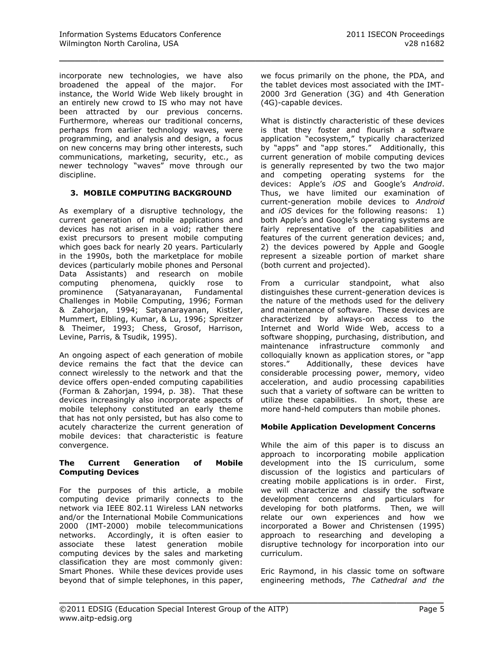incorporate new technologies, we have also broadened the appeal of the major. For instance, the World Wide Web likely brought in an entirely new crowd to IS who may not have been attracted by our previous concerns. Furthermore, whereas our traditional concerns, perhaps from earlier technology waves, were programming, and analysis and design, a focus on new concerns may bring other interests, such communications, marketing, security, etc., as newer technology "waves" move through our discipline.

#### **3. MOBILE COMPUTING BACKGROUND**

As exemplary of a disruptive technology, the current generation of mobile applications and devices has not arisen in a void; rather there exist precursors to present mobile computing which goes back for nearly 20 years. Particularly in the 1990s, both the marketplace for mobile devices (particularly mobile phones and Personal Data Assistants) and research on mobile computing phenomena, quickly rose to prominence (Satyanarayanan, Fundamental Challenges in Mobile Computing, 1996; Forman & Zahorjan, 1994; Satyanarayanan, Kistler, Mummert, Elbling, Kumar, & Lu, 1996; Spreitzer & Theimer, 1993; Chess, Grosof, Harrison, Levine, Parris, & Tsudik, 1995).

An ongoing aspect of each generation of mobile device remains the fact that the device can connect wirelessly to the network and that the device offers open-ended computing capabilities (Forman & Zahorjan, 1994, p. 38). That these devices increasingly also incorporate aspects of mobile telephony constituted an early theme that has not only persisted, but has also come to acutely characterize the current generation of mobile devices: that characteristic is feature convergence.

#### **The Current Generation of Mobile Computing Devices**

For the purposes of this article, a mobile computing device primarily connects to the network via IEEE 802.11 Wireless LAN networks and/or the International Mobile Communications 2000 (IMT-2000) mobile telecommunications networks. Accordingly, it is often easier to associate these latest generation mobile computing devices by the sales and marketing classification they are most commonly given: Smart Phones. While these devices provide uses beyond that of simple telephones, in this paper,

we focus primarily on the phone, the PDA, and the tablet devices most associated with the IMT-2000 3rd Generation (3G) and 4th Generation (4G)-capable devices.

\_\_\_\_\_\_\_\_\_\_\_\_\_\_\_\_\_\_\_\_\_\_\_\_\_\_\_\_\_\_\_\_\_\_\_\_\_\_\_\_\_\_\_\_\_\_\_\_\_

What is distinctly characteristic of these devices is that they foster and flourish a software application "ecosystem," typically characterized by "apps" and "app stores." Additionally, this current generation of mobile computing devices is generally represented by two the two major and competing operating systems for the devices: Apple's *iOS* and Google's *Android*. Thus, we have limited our examination of current-generation mobile devices to *Android* and *iOS* devices for the following reasons: 1) both Apple's and Google's operating systems are fairly representative of the capabilities and features of the current generation devices; and, 2) the devices powered by Apple and Google represent a sizeable portion of market share (both current and projected).

From a curricular standpoint, what also distinguishes these current-generation devices is the nature of the methods used for the delivery and maintenance of software. These devices are characterized by always-on access to the Internet and World Wide Web, access to a software shopping, purchasing, distribution, and maintenance infrastructure commonly and colloquially known as application stores, or "app stores." Additionally, these devices have considerable processing power, memory, video acceleration, and audio processing capabilities such that a variety of software can be written to utilize these capabilities. In short, these are more hand-held computers than mobile phones.

#### **Mobile Application Development Concerns**

While the aim of this paper is to discuss an approach to incorporating mobile application development into the IS curriculum, some discussion of the logistics and particulars of creating mobile applications is in order. First, we will characterize and classify the software development concerns and particulars for developing for both platforms. Then, we will relate our own experiences and how we incorporated a Bower and Christensen (1995) approach to researching and developing a disruptive technology for incorporation into our curriculum.

Eric Raymond, in his classic tome on software engineering methods, *The Cathedral and the*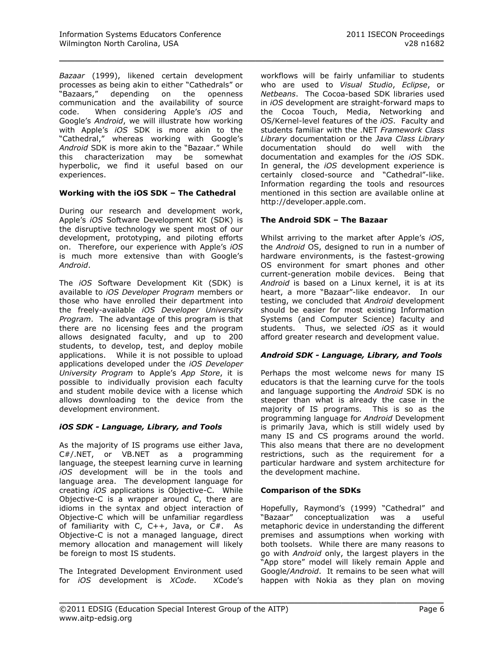*Bazaar* (1999), likened certain development processes as being akin to either "Cathedrals" or "Bazaars," depending on the openness communication and the availability of source code. When considering Apple's *iOS* and Google's *Android*, we will illustrate how working with Apple's *iOS* SDK is more akin to the "Cathedral," whereas working with Google's *Android* SDK is more akin to the "Bazaar." While this characterization may be somewhat hyperbolic, we find it useful based on our experiences.

## **Working with the iOS SDK – The Cathedral**

During our research and development work, Apple's *iOS* Software Development Kit (SDK) is the disruptive technology we spent most of our development, prototyping, and piloting efforts on. Therefore, our experience with Apple's *iOS* is much more extensive than with Google's *Android*.

The *iOS* Software Development Kit (SDK) is available to *iOS Developer Program* members or those who have enrolled their department into the freely-available *iOS Developer University Program*. The advantage of this program is that there are no licensing fees and the program allows designated faculty, and up to 200 students, to develop, test, and deploy mobile applications. While it is not possible to upload applications developed under the *iOS Developer University Program* to Apple's *App Store*, it is possible to individually provision each faculty and student mobile device with a license which allows downloading to the device from the development environment.

# *iOS SDK - Language, Library, and Tools*

As the majority of IS programs use either Java, C#/.NET, or VB.NET as a programming language, the steepest learning curve in learning *iOS* development will be in the tools and language area. The development language for creating *iOS* applications is Objective-C. While Objective-C is a wrapper around C, there are idioms in the syntax and object interaction of Objective-C which will be unfamiliar regardless of familiarity with C, C++, Java, or C#. As Objective-C is not a managed language, direct memory allocation and management will likely be foreign to most IS students.

The Integrated Development Environment used for *iOS* development is *XCode*. XCode's workflows will be fairly unfamiliar to students who are used to *Visual Studio*, *Eclipse*, or *Netbeans*. The Cocoa-based SDK libraries used in *iOS* development are straight-forward maps to the Cocoa Touch, Media, Networking and OS/Kernel-level features of the *iOS*. Faculty and students familiar with the .NET *Framework Class Library* documentation or the *Java Class Library* documentation should do well with the documentation and examples for the *iOS* SDK. In general, the *iOS* development experience is certainly closed-source and "Cathedral"-like. Information regarding the tools and resources mentioned in this section are available online at [http://developer.apple.com.](http://developer.apple.com/)

## **The Android SDK – The Bazaar**

\_\_\_\_\_\_\_\_\_\_\_\_\_\_\_\_\_\_\_\_\_\_\_\_\_\_\_\_\_\_\_\_\_\_\_\_\_\_\_\_\_\_\_\_\_\_\_\_\_

Whilst arriving to the market after Apple's *iOS*, the *Android* OS, designed to run in a number of hardware environments, is the fastest-growing OS environment for smart phones and other current-generation mobile devices. Being that *Android* is based on a Linux kernel, it is at its heart, a more "Bazaar"-like endeavor. In our testing, we concluded that *Android* development should be easier for most existing Information Systems (and Computer Science) faculty and students. Thus, we selected *iOS* as it would afford greater research and development value.

#### *Android SDK - Language, Library, and Tools*

Perhaps the most welcome news for many IS educators is that the learning curve for the tools and language supporting the *Android* SDK is no steeper than what is already the case in the majority of IS programs. This is so as the programming language for *Android* Development is primarily Java, which is still widely used by many IS and CS programs around the world. This also means that there are no development restrictions, such as the requirement for a particular hardware and system architecture for the development machine.

#### **Comparison of the SDKs**

Hopefully, Raymond's (1999) "Cathedral" and "Bazaar" conceptualization was a useful metaphoric device in understanding the different premises and assumptions when working with both toolsets. While there are many reasons to go with *Android* only, the largest players in the "App store" model will likely remain Apple and Google/*Android*. It remains to be seen what will happen with Nokia as they plan on moving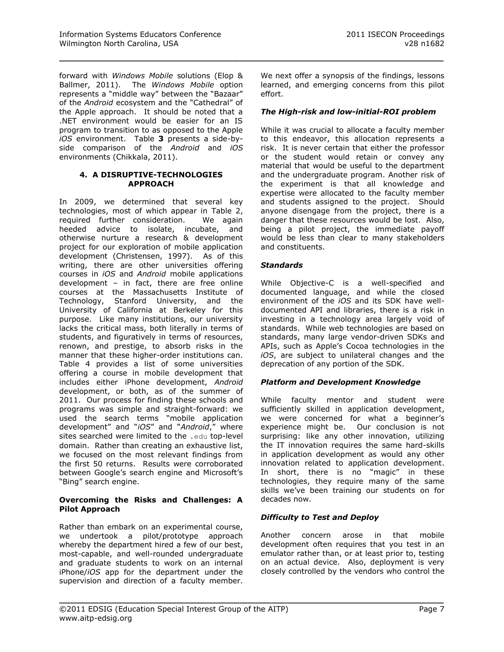forward with *Windows Mobile* solutions (Elop & Ballmer, 2011). The *Windows Mobile* option represents a "middle way" between the "Bazaar" of the *Android* ecosystem and the "Cathedral" of the Apple approach. It should be noted that a .NET environment would be easier for an IS program to transition to as opposed to the Apple *iOS* environment. [Table](#page-11-0) **3** presents a side-byside comparison of the *Android* and *iOS* environments (Chikkala, 2011).

#### **4. A DISRUPTIVE-TECHNOLOGIES APPROACH**

In 2009, we determined that several key technologies, most of which appear in [Table 2,](#page-10-1) required further consideration. We again heeded advice to isolate, incubate, and otherwise nurture a research & development project for our exploration of mobile application development (Christensen, 1997). As of this writing, there are other universities offering courses in *iOS* and *Android* mobile applications development – in fact, there are free online courses at the Massachusetts Institute of Technology, Stanford University, and the University of California at Berkeley for this purpose. Like many institutions, our university lacks the critical mass, both literally in terms of students, and figuratively in terms of resources, renown, and prestige, to absorb risks in the manner that these higher-order institutions can. [Table 4](#page-11-1) provides a list of some universities offering a course in mobile development that includes either iPhone development, *Android* development, or both, as of the summer of 2011. Our process for finding these schools and programs was simple and straight-forward: we used the search terms "mobile application development" and "*iOS*" and "*Android*," where sites searched were limited to the .edu top-level domain. Rather than creating an exhaustive list, we focused on the most relevant findings from the first 50 returns. Results were corroborated between Google's search engine and Microsoft's "Bing" search engine.

# **Overcoming the Risks and Challenges: A Pilot Approach**

Rather than embark on an experimental course, we undertook a pilot/prototype approach whereby the department hired a few of our best, most-capable, and well-rounded undergraduate and graduate students to work on an internal iPhone/*iOS* app for the department under the supervision and direction of a faculty member.

We next offer a synopsis of the findings, lessons learned, and emerging concerns from this pilot effort.

# *The High-risk and low-initial-ROI problem*

While it was crucial to allocate a faculty member to this endeavor, this allocation represents a risk. It is never certain that either the professor or the student would retain or convey any material that would be useful to the department and the undergraduate program. Another risk of the experiment is that all knowledge and expertise were allocated to the faculty member and students assigned to the project. Should anyone disengage from the project, there is a danger that these resources would be lost. Also, being a pilot project, the immediate payoff would be less than clear to many stakeholders and constituents.

# *Standards*

\_\_\_\_\_\_\_\_\_\_\_\_\_\_\_\_\_\_\_\_\_\_\_\_\_\_\_\_\_\_\_\_\_\_\_\_\_\_\_\_\_\_\_\_\_\_\_\_\_

While Objective-C is a well-specified and documented language, and while the closed environment of the *iOS* and its SDK have welldocumented API and libraries, there is a risk in investing in a technology area largely void of standards. While web technologies are based on standards, many large vendor-driven SDKs and APIs, such as Apple's Cocoa technologies in the *iOS*, are subject to unilateral changes and the deprecation of any portion of the SDK.

# *Platform and Development Knowledge*

While faculty mentor and student were sufficiently skilled in application development, we were concerned for what a beginner's experience might be. Our conclusion is not surprising: like any other innovation, utilizing the IT innovation requires the same hard-skills in application development as would any other innovation related to application development. In short, there is no "magic" in these technologies, they require many of the same skills we've been training our students on for decades now.

# *Difficulty to Test and Deploy*

Another concern arose in that mobile development often requires that you test in an emulator rather than, or at least prior to, testing on an actual device. Also, deployment is very closely controlled by the vendors who control the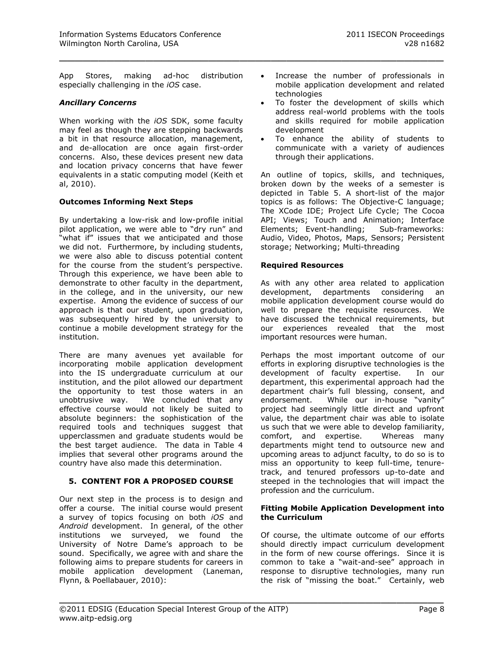App Stores, making ad-hoc distribution especially challenging in the *iOS* case.

#### *Ancillary Concerns*

When working with the *iOS* SDK, some faculty may feel as though they are stepping backwards a bit in that resource allocation, management, and de-allocation are once again first-order concerns. Also, these devices present new data and location privacy concerns that have fewer equivalents in a static computing model (Keith et al, 2010).

## **Outcomes Informing Next Steps**

By undertaking a low-risk and low-profile initial pilot application, we were able to "dry run" and "what if" issues that we anticipated and those we did not. Furthermore, by including students, we were also able to discuss potential content for the course from the student's perspective. Through this experience, we have been able to demonstrate to other faculty in the department, in the college, and in the university, our new expertise. Among the evidence of success of our approach is that our student, upon graduation, was subsequently hired by the university to continue a mobile development strategy for the institution.

There are many avenues yet available for incorporating mobile application development into the IS undergraduate curriculum at our institution, and the pilot allowed our department the opportunity to test those waters in an unobtrusive way. We concluded that any effective course would not likely be suited to absolute beginners: the sophistication of the required tools and techniques suggest that upperclassmen and graduate students would be the best target audience. The data in [Table 4](#page-11-1) implies that several other programs around the country have also made this determination.

## **5. CONTENT FOR A PROPOSED COURSE**

Our next step in the process is to design and offer a course. The initial course would present a survey of topics focusing on both *iOS* and *Android* development. In general, of the other institutions we surveyed, we found the University of Notre Dame's approach to be sound. Specifically, we agree with and share the following aims to prepare students for careers in mobile application development (Laneman, Flynn, & Poellabauer, 2010):

- Increase the number of professionals in mobile application development and related technologies
- To foster the development of skills which address real-world problems with the tools and skills required for mobile application development
- To enhance the ability of students to communicate with a variety of audiences through their applications.

An outline of topics, skills, and techniques, broken down by the weeks of a semester is depicted in [Table 5.](#page-12-0) A short-list of the major topics is as follows: The Objective-C language; The XCode IDE; Project Life Cycle; The Cocoa API; Views; Touch and Animation; Interface Elements; Event-handling; Sub-frameworks: Audio, Video, Photos, Maps, Sensors; Persistent storage; Networking; Multi-threading

## **Required Resources**

\_\_\_\_\_\_\_\_\_\_\_\_\_\_\_\_\_\_\_\_\_\_\_\_\_\_\_\_\_\_\_\_\_\_\_\_\_\_\_\_\_\_\_\_\_\_\_\_\_

As with any other area related to application development, departments considering an mobile application development course would do well to prepare the requisite resources. We have discussed the technical requirements, but our experiences revealed that the most important resources were human.

Perhaps the most important outcome of our efforts in exploring disruptive technologies is the development of faculty expertise. In our department, this experimental approach had the department chair's full blessing, consent, and endorsement. While our in-house "vanity" project had seemingly little direct and upfront value, the department chair was able to isolate us such that we were able to develop familiarity, comfort, and expertise. Whereas many departments might tend to outsource new and upcoming areas to adjunct faculty, to do so is to miss an opportunity to keep full-time, tenuretrack, and tenured professors up-to-date and steeped in the technologies that will impact the profession and the curriculum.

#### **Fitting Mobile Application Development into the Curriculum**

Of course, the ultimate outcome of our efforts should directly impact curriculum development in the form of new course offerings. Since it is common to take a "wait-and-see" approach in response to disruptive technologies, many run the risk of "missing the boat." Certainly, web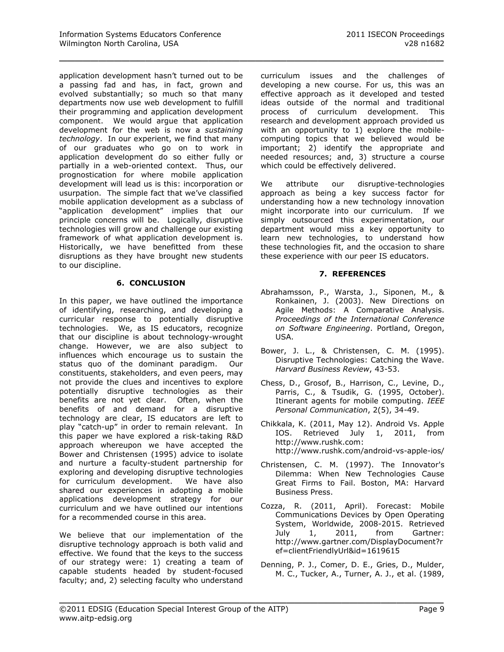\_\_\_\_\_\_\_\_\_\_\_\_\_\_\_\_\_\_\_\_\_\_\_\_\_\_\_\_\_\_\_\_\_\_\_\_\_\_\_\_\_\_\_\_\_\_\_\_\_

application development hasn't turned out to be a passing fad and has, in fact, grown and evolved substantially; so much so that many departments now use web development to fulfill their programming and application development component. We would argue that application development for the web is now a *sustaining technology*. In our experient, we find that many of our graduates who go on to work in application development do so either fully or partially in a web-oriented context. Thus, our prognostication for where mobile application development will lead us is this: incorporation or usurpation. The simple fact that we've classified mobile application development as a subclass of "application development" implies that our principle concerns will be. Logically, disruptive technologies will grow and challenge our existing framework of what application development is. Historically, we have benefitted from these disruptions as they have brought new students to our discipline.

# **6. CONCLUSION**

In this paper, we have outlined the importance of identifying, researching, and developing a curricular response to potentially disruptive technologies. We, as IS educators, recognize that our discipline is about technology-wrought change. However, we are also subject to influences which encourage us to sustain the status quo of the dominant paradigm. Our constituents, stakeholders, and even peers, may not provide the clues and incentives to explore potentially disruptive technologies as their benefits are not yet clear. Often, when the benefits of and demand for a disruptive technology are clear, IS educators are left to play "catch-up" in order to remain relevant. In this paper we have explored a risk-taking R&D approach whereupon we have accepted the Bower and Christensen (1995) advice to isolate and nurture a faculty-student partnership for exploring and developing disruptive technologies for curriculum development. We have also shared our experiences in adopting a mobile applications development strategy for our curriculum and we have outlined our intentions for a recommended course in this area.

We believe that our implementation of the disruptive technology approach is both valid and effective. We found that the keys to the success of our strategy were: 1) creating a team of capable students headed by student-focused faculty; and, 2) selecting faculty who understand

curriculum issues and the challenges of developing a new course. For us, this was an effective approach as it developed and tested ideas outside of the normal and traditional process of curriculum development. This research and development approach provided us with an opportunity to 1) explore the mobilecomputing topics that we believed would be important; 2) identify the appropriate and needed resources; and, 3) structure a course which could be effectively delivered.

We attribute our disruptive-technologies approach as being a key success factor for understanding how a new technology innovation might incorporate into our curriculum. If we simply outsourced this experimentation, our department would miss a key opportunity to learn new technologies, to understand how these technologies fit, and the occasion to share these experience with our peer IS educators.

# **7. REFERENCES**

- Abrahamsson, P., Warsta, J., Siponen, M., & Ronkainen, J. (2003). New Directions on Agile Methods: A Comparative Analysis. *Proceedings of the International Conference on Software Engineering*. Portland, Oregon, USA.
- Bower, J. L., & Christensen, C. M. (1995). Disruptive Technologies: Catching the Wave. *Harvard Business Review*, 43-53.
- Chess, D., Grosof, B., Harrison, C., Levine, D., Parris, C., & Tsudik, G. (1995, October). Itinerant agents for mobile computing. *IEEE Personal Communication*, 2(5), 34-49.
- Chikkala, K. (2011, May 12). Android Vs. Apple IOS. Retrieved July 1, 2011, from http://www.rushk.com: http://www.rushk.com/android-vs-apple-ios/
- Christensen, C. M. (1997). The Innovator's Dilemma: When New Technologies Cause Great Firms to Fail. Boston, MA: Harvard Business Press.
- Cozza, R. (2011, April). Forecast: Mobile Communications Devices by Open Operating System, Worldwide, 2008-2015. Retrieved July 1, 2011, from Gartner: http://www.gartner.com/DisplayDocument?r ef=clientFriendlyUrl&id=1619615
- Denning, P. J., Comer, D. E., Gries, D., Mulder, M. C., Tucker, A., Turner, A. J., et al. (1989,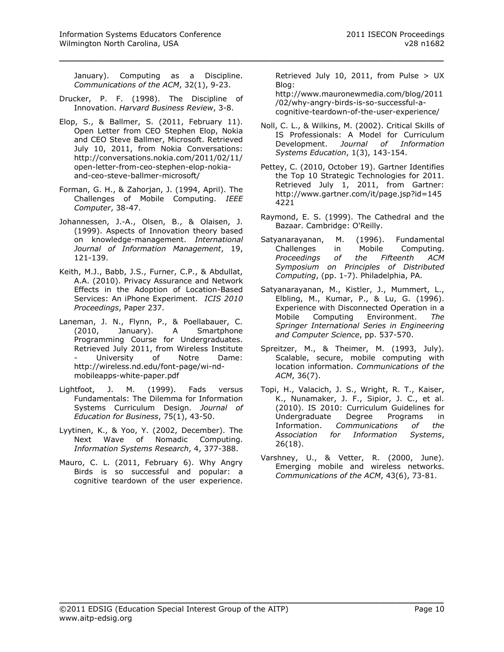January). Computing as a Discipline. *Communications of the ACM*, 32(1), 9-23.

\_\_\_\_\_\_\_\_\_\_\_\_\_\_\_\_\_\_\_\_\_\_\_\_\_\_\_\_\_\_\_\_\_\_\_\_\_\_\_\_\_\_\_\_\_\_\_\_\_

- Drucker, P. F. (1998). The Discipline of Innovation. *Harvard Business Review*, 3-8.
- Elop, S., & Ballmer, S. (2011, February 11). Open Letter from CEO Stephen Elop, Nokia and CEO Steve Ballmer, Microsoft. Retrieved July 10, 2011, from Nokia Conversations: http://conversations.nokia.com/2011/02/11/ open-letter-from-ceo-stephen-elop-nokiaand-ceo-steve-ballmer-microsoft/
- Forman, G. H., & Zahorjan, J. (1994, April). The Challenges of Mobile Computing. *IEEE Computer*, 38-47.
- Johannessen, J.-A., Olsen, B., & Olaisen, J. (1999). Aspects of Innovation theory based on knowledge-management. *International Journal of Information Management*, 19, 121-139.
- Keith, M.J., Babb, J.S., Furner, C.P., & Abdullat, A.A. (2010). Privacy Assurance and Network Effects in the Adoption of Location-Based Services: An iPhone Experiment. *ICIS 2010 Proceedings*, Paper 237.
- Laneman, J. N., Flynn, P., & Poellabauer, C. (2010, January). A Smartphone Programming Course for Undergraduates. Retrieved July 2011, from Wireless Institute University of Notre Dame: http://wireless.nd.edu/font-page/wi-ndmobileapps-white-paper.pdf
- Lightfoot, J. M. (1999). Fads versus Fundamentals: The Dilemma for Information Systems Curriculum Design. *Journal of Education for Business*, 75(1), 43-50.
- Lyytinen, K., & Yoo, Y. (2002, December). The Next Wave of Nomadic Computing. *Information Systems Research*, 4, 377-388.
- Mauro, C. L. (2011, February 6). Why Angry Birds is so successful and popular: a cognitive teardown of the user experience.

Retrieved July 10, 2011, from Pulse > UX Blog:

http://www.mauronewmedia.com/blog/2011 /02/why-angry-birds-is-so-successful-acognitive-teardown-of-the-user-experience/

- Noll, C. L., & Wilkins, M. (2002). Critical Skills of IS Professionals: A Model for Curriculum Development. *Journal of Information Systems Education*, 1(3), 143-154.
- Pettey, C. (2010, October 19). Gartner Identifies the Top 10 Strategic Technologies for 2011. Retrieved July 1, 2011, from Gartner: http://www.gartner.com/it/page.jsp?id=145 4221
- Raymond, E. S. (1999). The Cathedral and the Bazaar. Cambridge: O'Reilly.
- Satyanarayanan, M. (1996). Fundamental Challenges in Mobile Computing. *Proceedings of the Fifteenth ACM Symposium on Principles of Distributed Computing*, (pp. 1-7). Philadelphia, PA.
- Satyanarayanan, M., Kistler, J., Mummert, L., Elbling, M., Kumar, P., & Lu, G. (1996). Experience with Disconnected Operation in a Mobile Computing Environment. *The Springer International Series in Engineering and Computer Science*, pp. 537-570.
- Spreitzer, M., & Theimer, M. (1993, July). Scalable, secure, mobile computing with location information. *Communications of the ACM*, 36(7).
- Topi, H., Valacich, J. S., Wright, R. T., Kaiser, K., Nunamaker, J. F., Sipior, J. C., et al. (2010). IS 2010: Curriculum Guidelines for Undergraduate Degree Programs in Information. *Communications of the Association for Information Systems*, 26(18).
- Varshney, U., & Vetter, R. (2000, June). Emerging mobile and wireless networks. *Communications of the ACM*, 43(6), 73-81.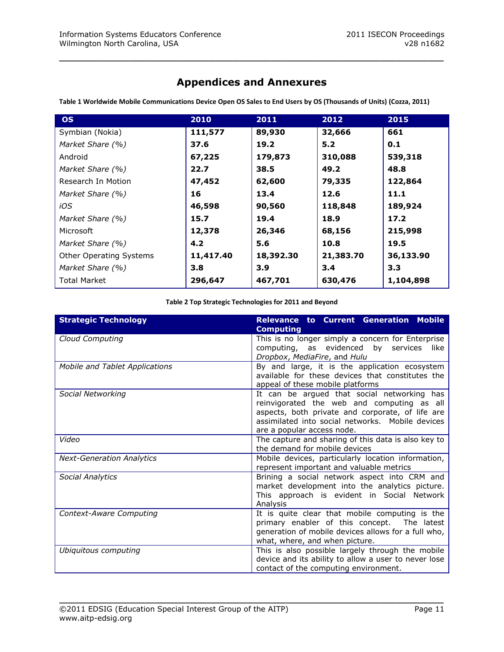# **Appendices and Annexures**

\_\_\_\_\_\_\_\_\_\_\_\_\_\_\_\_\_\_\_\_\_\_\_\_\_\_\_\_\_\_\_\_\_\_\_\_\_\_\_\_\_\_\_\_\_\_\_\_\_

| <b>OS</b>                      | 2010      | 2011      | 2012      | 2015      |
|--------------------------------|-----------|-----------|-----------|-----------|
| Symbian (Nokia)                | 111,577   | 89,930    | 32,666    | 661       |
| Market Share (%)               | 37.6      | 19.2      | 5.2       | 0.1       |
| Android                        | 67,225    | 179,873   | 310,088   | 539,318   |
| Market Share (%)               | 22.7      | 38.5      | 49.2      | 48.8      |
| Research In Motion             | 47,452    | 62,600    | 79,335    | 122,864   |
| Market Share (%)               | 16        | 13.4      | 12.6      | 11.1      |
| iOS                            | 46,598    | 90,560    | 118,848   | 189,924   |
| Market Share (%)               | 15.7      | 19.4      | 18.9      | 17.2      |
| Microsoft                      | 12,378    | 26,346    | 68,156    | 215,998   |
| Market Share (%)               | 4.2       | 5.6       | 10.8      | 19.5      |
| <b>Other Operating Systems</b> | 11,417.40 | 18,392.30 | 21,383.70 | 36,133.90 |
| Market Share (%)               | 3.8       | 3.9       | 3.4       | 3.3       |
| <b>Total Market</b>            | 296,647   | 467,701   | 630,476   | 1,104,898 |

<span id="page-10-0"></span>**Table 1 Worldwide Mobile Communications Device Open OS Sales to End Users by OS (Thousands of Units) (Cozza, 2011)**

#### **Table 2 Top Strategic Technologies for 2011 and Beyond**

<span id="page-10-1"></span>

| <b>Strategic Technology</b>      | <b>Relevance to Current Generation Mobile</b><br><b>Computing</b>                                                                                                                                                               |
|----------------------------------|---------------------------------------------------------------------------------------------------------------------------------------------------------------------------------------------------------------------------------|
| Cloud Computing                  | This is no longer simply a concern for Enterprise<br>computing, as evidenced by services like<br>Dropbox, MediaFire, and Hulu                                                                                                   |
| Mobile and Tablet Applications   | By and large, it is the application ecosystem<br>available for these devices that constitutes the<br>appeal of these mobile platforms                                                                                           |
| Social Networking                | It can be argued that social networking has<br>reinvigorated the web and computing as all<br>aspects, both private and corporate, of life are<br>assimilated into social networks. Mobile devices<br>are a popular access node. |
| Video                            | The capture and sharing of this data is also key to<br>the demand for mobile devices                                                                                                                                            |
| <b>Next-Generation Analytics</b> | Mobile devices, particularly location information,<br>represent important and valuable metrics                                                                                                                                  |
| Social Analytics                 | Brining a social network aspect into CRM and<br>market development into the analytics picture.<br>This approach is evident in Social Network<br>Analysis                                                                        |
| Context-Aware Computing          | It is quite clear that mobile computing is the<br>primary enabler of this concept. The latest<br>generation of mobile devices allows for a full who,<br>what, where, and when picture.                                          |
| Ubiquitous computing             | This is also possible largely through the mobile<br>device and its ability to allow a user to never lose<br>contact of the computing environment.                                                                               |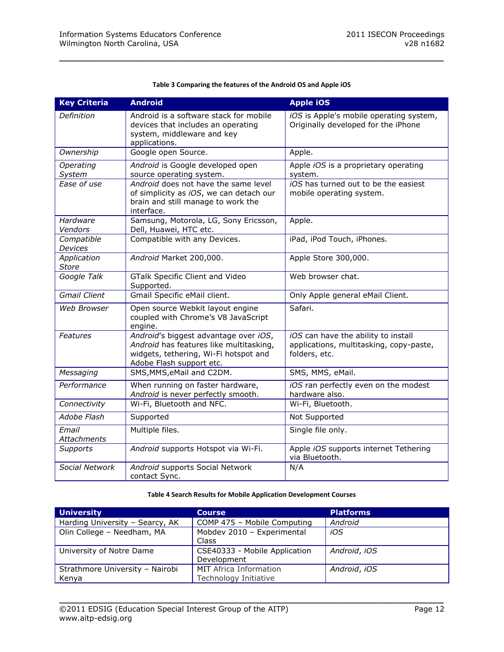<span id="page-11-0"></span>

| <b>Key Criteria</b>          | <b>Android</b>                                                                                                                                        | <b>Apple iOS</b>                                                                                |
|------------------------------|-------------------------------------------------------------------------------------------------------------------------------------------------------|-------------------------------------------------------------------------------------------------|
| Definition                   | Android is a software stack for mobile<br>devices that includes an operating<br>system, middleware and key<br>applications.                           | iOS is Apple's mobile operating system,<br>Originally developed for the iPhone                  |
| Ownership                    | Google open Source.                                                                                                                                   | Apple.                                                                                          |
| Operating<br>System          | Android is Google developed open<br>source operating system.                                                                                          | Apple iOS is a proprietary operating<br>system.                                                 |
| Ease of use                  | Android does not have the same level<br>of simplicity as iOS, we can detach our<br>brain and still manage to work the<br>interface.                   | iOS has turned out to be the easiest<br>mobile operating system.                                |
| Hardware<br>Vendors          | Samsung, Motorola, LG, Sony Ericsson,<br>Dell, Huawei, HTC etc.                                                                                       | Apple.                                                                                          |
| Compatible<br><b>Devices</b> | Compatible with any Devices.                                                                                                                          | iPad, iPod Touch, iPhones.                                                                      |
| Application<br><b>Store</b>  | Android Market 200,000.                                                                                                                               | Apple Store 300,000.                                                                            |
| Google Talk                  | GTalk Specific Client and Video<br>Supported.                                                                                                         | Web browser chat.                                                                               |
| <b>Gmail Client</b>          | Gmail Specific eMail client.                                                                                                                          | Only Apple general eMail Client.                                                                |
| <b>Web Browser</b>           | Open source Webkit layout engine<br>coupled with Chrome's V8 JavaScript<br>engine.                                                                    | Safari.                                                                                         |
| <b>Features</b>              | Android's biggest advantage over iOS,<br>Android has features like multitasking,<br>widgets, tethering, Wi-Fi hotspot and<br>Adobe Flash support etc. | iOS can have the ability to install<br>applications, multitasking, copy-paste,<br>folders, etc. |
| Messaging                    | SMS, MMS, eMail and C2DM.                                                                                                                             | SMS, MMS, eMail.                                                                                |
| Performance                  | When running on faster hardware,<br>Android is never perfectly smooth.                                                                                | iOS ran perfectly even on the modest<br>hardware also.                                          |
| Connectivity                 | Wi-Fi, Bluetooth and NFC.                                                                                                                             | Wi-Fi, Bluetooth.                                                                               |
| Adobe Flash                  | Supported                                                                                                                                             | Not Supported                                                                                   |
| Email<br>Attachments         | Multiple files.                                                                                                                                       | Single file only.                                                                               |
| <b>Supports</b>              | Android supports Hotspot via Wi-Fi.                                                                                                                   | Apple iOS supports internet Tethering<br>via Bluetooth.                                         |
| Social Network               | Android supports Social Network<br>contact Sync.                                                                                                      | N/A                                                                                             |

#### **Table 3 Comparing the features of the Android OS and Apple iOS**

\_\_\_\_\_\_\_\_\_\_\_\_\_\_\_\_\_\_\_\_\_\_\_\_\_\_\_\_\_\_\_\_\_\_\_\_\_\_\_\_\_\_\_\_\_\_\_\_\_

#### **Table 4 Search Results for Mobile Application Development Courses**

<span id="page-11-1"></span>

| <b>University</b>                        | <b>Course</b>                                   | <b>Platforms</b> |
|------------------------------------------|-------------------------------------------------|------------------|
| Harding University - Searcy, AK          | COMP 475 - Mobile Computing                     | Android          |
| Olin College - Needham, MA               | Mobdev 2010 - Experimental<br>Class             | iOS              |
| University of Notre Dame                 | CSE40333 - Mobile Application<br>Development    | Android, iOS     |
| Strathmore University - Nairobi<br>Kenya | MIT Africa Information<br>Technology Initiative | Android, iOS     |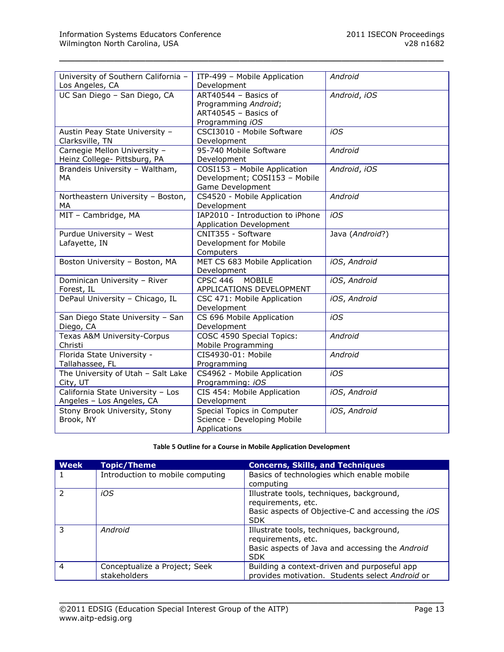| University of Southern California -<br>Los Angeles, CA         | ITP-499 - Mobile Application<br>Development                                             | Android         |
|----------------------------------------------------------------|-----------------------------------------------------------------------------------------|-----------------|
| UC San Diego - San Diego, CA                                   | ART40544 - Basics of<br>Programming Android;<br>ART40545 - Basics of<br>Programming iOS | Android, iOS    |
| Austin Peay State University -<br>Clarksville, TN              | CSCI3010 - Mobile Software<br>Development                                               | iOS             |
| Carnegie Mellon University -<br>Heinz College- Pittsburg, PA   | 95-740 Mobile Software<br>Development                                                   | Android         |
| Brandeis University - Waltham,<br>MA                           | COSI153 - Mobile Application<br>Development; COSI153 - Mobile<br>Game Development       | Android, iOS    |
| Northeastern University - Boston,<br>MA                        | CS4520 - Mobile Application<br>Development                                              | Android         |
| MIT - Cambridge, MA                                            | IAP2010 - Introduction to iPhone<br><b>Application Development</b>                      | iOS             |
| Purdue University - West<br>Lafayette, IN                      | CNIT355 - Software<br>Development for Mobile<br>Computers                               | Java (Android?) |
| Boston University - Boston, MA                                 | MET CS 683 Mobile Application<br>Development                                            | iOS, Android    |
| Dominican University - River<br>Forest, IL                     | <b>CPSC 446</b><br><b>MOBILE</b><br>APPLICATIONS DEVELOPMENT                            | iOS, Android    |
| DePaul University - Chicago, IL                                | CSC 471: Mobile Application<br>Development                                              | iOS, Android    |
| San Diego State University - San<br>Diego, CA                  | CS 696 Mobile Application<br>Development                                                | iOS             |
| Texas A&M University-Corpus<br>Christi                         | COSC 4590 Special Topics:<br>Mobile Programming                                         | Android         |
| Florida State University -<br>Tallahassee, FL                  | CIS4930-01: Mobile<br>Programming                                                       | Android         |
| The University of Utah - Salt Lake<br>City, UT                 | CS4962 - Mobile Application<br>Programming: iOS                                         | iOS             |
| California State University - Los<br>Angeles - Los Angeles, CA | CIS 454: Mobile Application<br>Development                                              | iOS, Android    |
| Stony Brook University, Stony<br>Brook, NY                     | Special Topics in Computer<br>Science - Developing Mobile<br>Applications               | iOS, Android    |

\_\_\_\_\_\_\_\_\_\_\_\_\_\_\_\_\_\_\_\_\_\_\_\_\_\_\_\_\_\_\_\_\_\_\_\_\_\_\_\_\_\_\_\_\_\_\_\_\_

#### **Table 5 Outline for a Course in Mobile Application Development**

<span id="page-12-0"></span>

| <b>Week</b>    | <b>Topic/Theme</b>                            | <b>Concerns, Skills, and Techniques</b>                                                                                                    |
|----------------|-----------------------------------------------|--------------------------------------------------------------------------------------------------------------------------------------------|
|                | Introduction to mobile computing              | Basics of technologies which enable mobile<br>computing                                                                                    |
| $\mathcal{P}$  | iOS                                           | Illustrate tools, techniques, background,<br>requirements, etc.<br>Basic aspects of Objective-C and accessing the <i>iOS</i><br><b>SDK</b> |
| 3              | Android                                       | Illustrate tools, techniques, background,<br>requirements, etc.<br>Basic aspects of Java and accessing the Android<br><b>SDK</b>           |
| $\overline{4}$ | Conceptualize a Project; Seek<br>stakeholders | Building a context-driven and purposeful app<br>provides motivation. Students select Android or                                            |